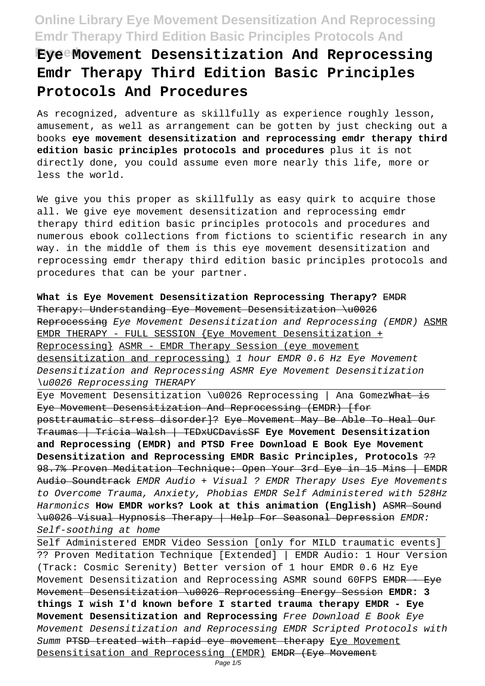# **Procedures Eye Movement Desensitization And Reprocessing Emdr Therapy Third Edition Basic Principles Protocols And Procedures**

As recognized, adventure as skillfully as experience roughly lesson, amusement, as well as arrangement can be gotten by just checking out a books **eye movement desensitization and reprocessing emdr therapy third edition basic principles protocols and procedures** plus it is not directly done, you could assume even more nearly this life, more or less the world.

We give you this proper as skillfully as easy quirk to acquire those all. We give eye movement desensitization and reprocessing emdr therapy third edition basic principles protocols and procedures and numerous ebook collections from fictions to scientific research in any way. in the middle of them is this eye movement desensitization and reprocessing emdr therapy third edition basic principles protocols and procedures that can be your partner.

**What is Eye Movement Desensitization Reprocessing Therapy?** EMDR Therapy: Understanding Eye Movement Desensitization \u0026 Reprocessing Eye Movement Desensitization and Reprocessing (EMDR) ASMR EMDR THERAPY - FULL SESSION {Eye Movement Desensitization + Reprocessing} ASMR - EMDR Therapy Session (eye movement desensitization and reprocessing) 1 hour EMDR 0.6 Hz Eye Movement Desensitization and Reprocessing ASMR Eye Movement Desensitization \u0026 Reprocessing THERAPY

Eye Movement Desensitization \u0026 Reprocessing | Ana GomezWhat is Eye Movement Desensitization And Reprocessing (EMDR) [for posttraumatic stress disorder]? Eye Movement May Be Able To Heal Our Traumas | Tricia Walsh | TEDxUCDavisSF **Eye Movement Desensitization and Reprocessing (EMDR) and PTSD Free Download E Book Eye Movement Desensitization and Reprocessing EMDR Basic Principles, Protocols** ?? 98.7% Proven Meditation Technique: Open Your 3rd Eye in 15 Mins | EMDR Audio Soundtrack EMDR Audio + Visual ? EMDR Therapy Uses Eye Movements to Overcome Trauma, Anxiety, Phobias EMDR Self Administered with 528Hz Harmonics **How EMDR works? Look at this animation (English)** ASMR Sound \u0026 Visual Hypnosis Therapy | Help For Seasonal Depression EMDR: Self-soothing at home

Self Administered EMDR Video Session [only for MILD traumatic events] ?? Proven Meditation Technique [Extended] | EMDR Audio: 1 Hour Version (Track: Cosmic Serenity) Better version of 1 hour EMDR 0.6 Hz Eye Movement Desensitization and Reprocessing ASMR sound 60FPS EMDR - Eye Movement Desensitization \u0026 Reprocessing Energy Session **EMDR: 3 things I wish I'd known before I started trauma therapy EMDR - Eye Movement Desensitization and Reprocessing** Free Download E Book Eye Movement Desensitization and Reprocessing EMDR Scripted Protocols with Summ PTSD treated with rapid eye movement therapy Eye Movement Desensitisation and Reprocessing (EMDR) EMDR (Eye Movement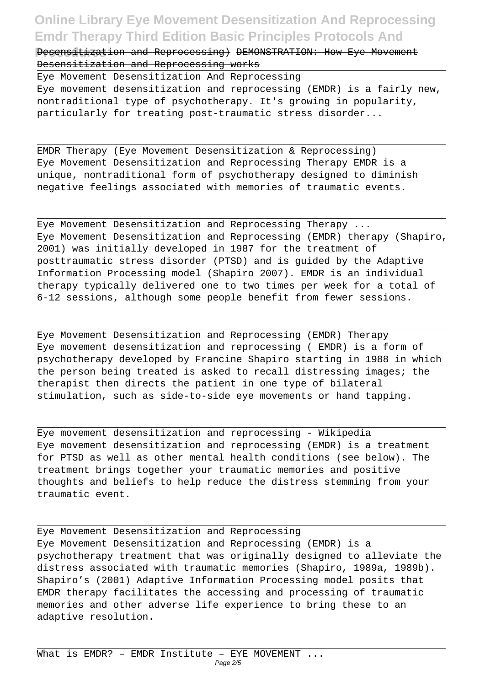**Pesensitization and Reprocessing) DEMONSTRATION: How Eye Movement** Desensitization and Reprocessing works

Eye Movement Desensitization And Reprocessing Eye movement desensitization and reprocessing (EMDR) is a fairly new, nontraditional type of psychotherapy. It's growing in popularity, particularly for treating post-traumatic stress disorder...

EMDR Therapy (Eye Movement Desensitization & Reprocessing) Eye Movement Desensitization and Reprocessing Therapy EMDR is a unique, nontraditional form of psychotherapy designed to diminish negative feelings associated with memories of traumatic events.

Eye Movement Desensitization and Reprocessing Therapy ... Eye Movement Desensitization and Reprocessing (EMDR) therapy (Shapiro, 2001) was initially developed in 1987 for the treatment of posttraumatic stress disorder (PTSD) and is guided by the Adaptive Information Processing model (Shapiro 2007). EMDR is an individual therapy typically delivered one to two times per week for a total of 6-12 sessions, although some people benefit from fewer sessions.

Eye Movement Desensitization and Reprocessing (EMDR) Therapy Eye movement desensitization and reprocessing ( EMDR) is a form of psychotherapy developed by Francine Shapiro starting in 1988 in which the person being treated is asked to recall distressing images; the therapist then directs the patient in one type of bilateral stimulation, such as side-to-side eye movements or hand tapping.

Eye movement desensitization and reprocessing - Wikipedia Eye movement desensitization and reprocessing (EMDR) is a treatment for PTSD as well as other mental health conditions (see below). The treatment brings together your traumatic memories and positive thoughts and beliefs to help reduce the distress stemming from your traumatic event.

Eye Movement Desensitization and Reprocessing Eye Movement Desensitization and Reprocessing (EMDR) is a psychotherapy treatment that was originally designed to alleviate the distress associated with traumatic memories (Shapiro, 1989a, 1989b). Shapiro's (2001) Adaptive Information Processing model posits that EMDR therapy facilitates the accessing and processing of traumatic memories and other adverse life experience to bring these to an adaptive resolution.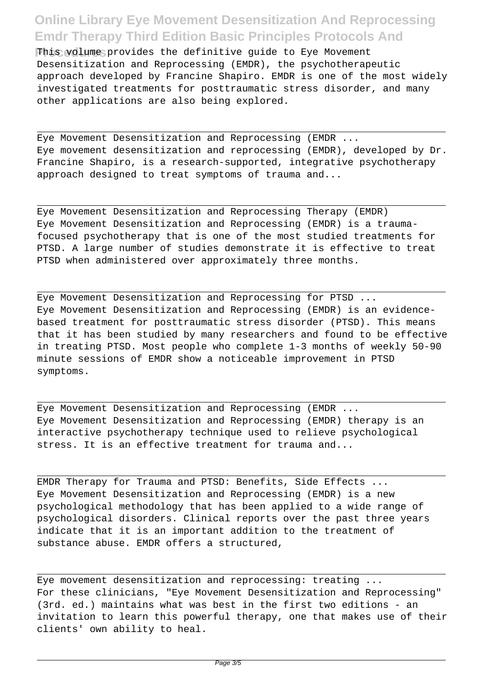This volume provides the definitive quide to Eye Movement Desensitization and Reprocessing (EMDR), the psychotherapeutic approach developed by Francine Shapiro. EMDR is one of the most widely investigated treatments for posttraumatic stress disorder, and many other applications are also being explored.

Eye Movement Desensitization and Reprocessing (EMDR ... Eye movement desensitization and reprocessing (EMDR), developed by Dr. Francine Shapiro, is a research-supported, integrative psychotherapy approach designed to treat symptoms of trauma and...

Eye Movement Desensitization and Reprocessing Therapy (EMDR) Eye Movement Desensitization and Reprocessing (EMDR) is a traumafocused psychotherapy that is one of the most studied treatments for PTSD. A large number of studies demonstrate it is effective to treat PTSD when administered over approximately three months.

Eye Movement Desensitization and Reprocessing for PTSD ... Eye Movement Desensitization and Reprocessing (EMDR) is an evidencebased treatment for posttraumatic stress disorder (PTSD). This means that it has been studied by many researchers and found to be effective in treating PTSD. Most people who complete 1-3 months of weekly 50-90 minute sessions of EMDR show a noticeable improvement in PTSD symptoms.

Eye Movement Desensitization and Reprocessing (EMDR ... Eye Movement Desensitization and Reprocessing (EMDR) therapy is an interactive psychotherapy technique used to relieve psychological stress. It is an effective treatment for trauma and...

EMDR Therapy for Trauma and PTSD: Benefits, Side Effects ... Eye Movement Desensitization and Reprocessing (EMDR) is a new psychological methodology that has been applied to a wide range of psychological disorders. Clinical reports over the past three years indicate that it is an important addition to the treatment of substance abuse. EMDR offers a structured,

Eye movement desensitization and reprocessing: treating ... For these clinicians, "Eye Movement Desensitization and Reprocessing" (3rd. ed.) maintains what was best in the first two editions - an invitation to learn this powerful therapy, one that makes use of their clients' own ability to heal.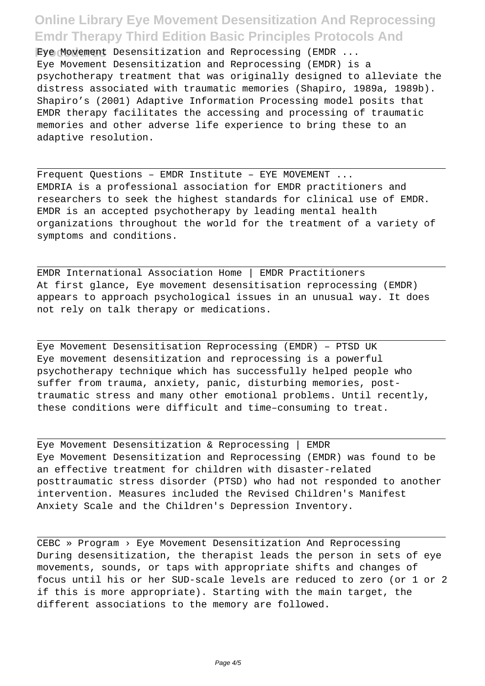**Procedures** Eye Movement Desensitization and Reprocessing (EMDR ... Eye Movement Desensitization and Reprocessing (EMDR) is a psychotherapy treatment that was originally designed to alleviate the distress associated with traumatic memories (Shapiro, 1989a, 1989b). Shapiro's (2001) Adaptive Information Processing model posits that EMDR therapy facilitates the accessing and processing of traumatic memories and other adverse life experience to bring these to an adaptive resolution.

Frequent Questions – EMDR Institute – EYE MOVEMENT ... EMDRIA is a professional association for EMDR practitioners and researchers to seek the highest standards for clinical use of EMDR. EMDR is an accepted psychotherapy by leading mental health organizations throughout the world for the treatment of a variety of symptoms and conditions.

EMDR International Association Home | EMDR Practitioners At first glance, Eye movement desensitisation reprocessing (EMDR) appears to approach psychological issues in an unusual way. It does not rely on talk therapy or medications.

Eye Movement Desensitisation Reprocessing (EMDR) – PTSD UK Eye movement desensitization and reprocessing is a powerful psychotherapy technique which has successfully helped people who suffer from trauma, anxiety, panic, disturbing memories, posttraumatic stress and many other emotional problems. Until recently, these conditions were difficult and time–consuming to treat.

Eye Movement Desensitization & Reprocessing | EMDR Eye Movement Desensitization and Reprocessing (EMDR) was found to be an effective treatment for children with disaster-related posttraumatic stress disorder (PTSD) who had not responded to another intervention. Measures included the Revised Children's Manifest Anxiety Scale and the Children's Depression Inventory.

CEBC » Program › Eye Movement Desensitization And Reprocessing During desensitization, the therapist leads the person in sets of eye movements, sounds, or taps with appropriate shifts and changes of focus until his or her SUD-scale levels are reduced to zero (or 1 or 2 if this is more appropriate). Starting with the main target, the different associations to the memory are followed.